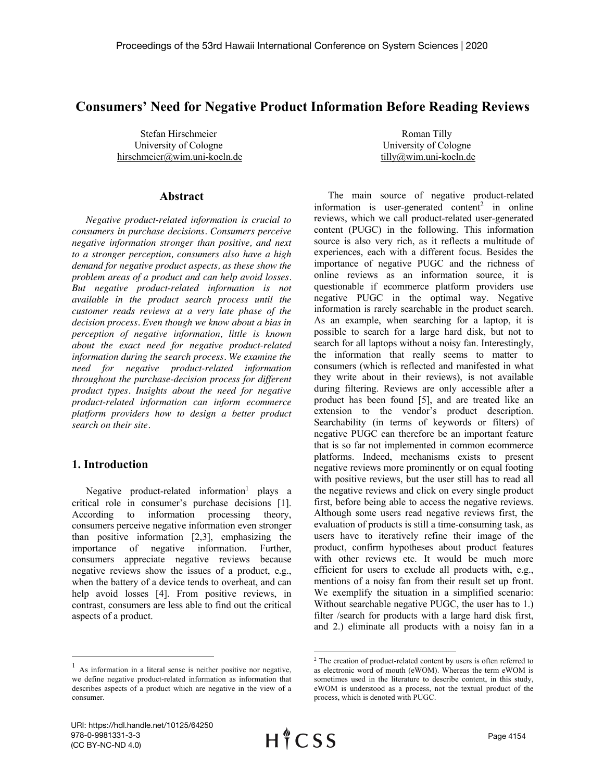# **Consumers' Need for Negative Product Information Before Reading Reviews**

Stefan Hirschmeier University of Cologne hirschmeier@wim.uni-koeln.de

## **Abstract**

*Negative product-related information is crucial to consumers in purchase decisions. Consumers perceive negative information stronger than positive, and next to a stronger perception, consumers also have a high demand for negative product aspects, as these show the problem areas of a product and can help avoid losses. But negative product-related information is not available in the product search process until the customer reads reviews at a very late phase of the decision process. Even though we know about a bias in perception of negative information, little is known about the exact need for negative product-related information during the search process. We examine the need for negative product-related information throughout the purchase-decision process for different product types. Insights about the need for negative product-related information can inform ecommerce platform providers how to design a better product search on their site.*

#### **1. Introduction**

Negative product-related information<sup>1</sup> plays a critical role in consumer's purchase decisions [1]. According to information processing theory, consumers perceive negative information even stronger than positive information [2,3], emphasizing the importance of negative information. Further, consumers appreciate negative reviews because negative reviews show the issues of a product, e.g., when the battery of a device tends to overheat, and can help avoid losses [4]. From positive reviews, in contrast, consumers are less able to find out the critical aspects of a product.

Roman Tilly University of Cologne tilly@wim.uni-koeln.de

The main source of negative product-related information is user-generated content<sup>2</sup> in online reviews, which we call product-related user-generated content (PUGC) in the following. This information source is also very rich, as it reflects a multitude of experiences, each with a different focus. Besides the importance of negative PUGC and the richness of online reviews as an information source, it is questionable if ecommerce platform providers use negative PUGC in the optimal way. Negative information is rarely searchable in the product search. As an example, when searching for a laptop, it is possible to search for a large hard disk, but not to search for all laptops without a noisy fan. Interestingly, the information that really seems to matter to consumers (which is reflected and manifested in what they write about in their reviews), is not available during filtering. Reviews are only accessible after a product has been found [5], and are treated like an extension to the vendor's product description. Searchability (in terms of keywords or filters) of negative PUGC can therefore be an important feature that is so far not implemented in common ecommerce platforms. Indeed, mechanisms exists to present negative reviews more prominently or on equal footing with positive reviews, but the user still has to read all the negative reviews and click on every single product first, before being able to access the negative reviews. Although some users read negative reviews first, the evaluation of products is still a time-consuming task, as users have to iteratively refine their image of the product, confirm hypotheses about product features with other reviews etc. It would be much more efficient for users to exclude all products with, e.g., mentions of a noisy fan from their result set up front. We exemplify the situation in a simplified scenario: Without searchable negative PUGC, the user has to 1.) filter /search for products with a large hard disk first, and 2.) eliminate all products with a noisy fan in a

 $<sup>1</sup>$  As information in a literal sense is neither positive nor negative,</sup> we define negative product-related information as information that describes aspects of a product which are negative in the view of a consumer.

 $2$  The creation of product-related content by users is often referred to as electronic word of mouth (eWOM). Whereas the term eWOM is sometimes used in the literature to describe content, in this study, eWOM is understood as a process, not the textual product of the process, which is denoted with PUGC.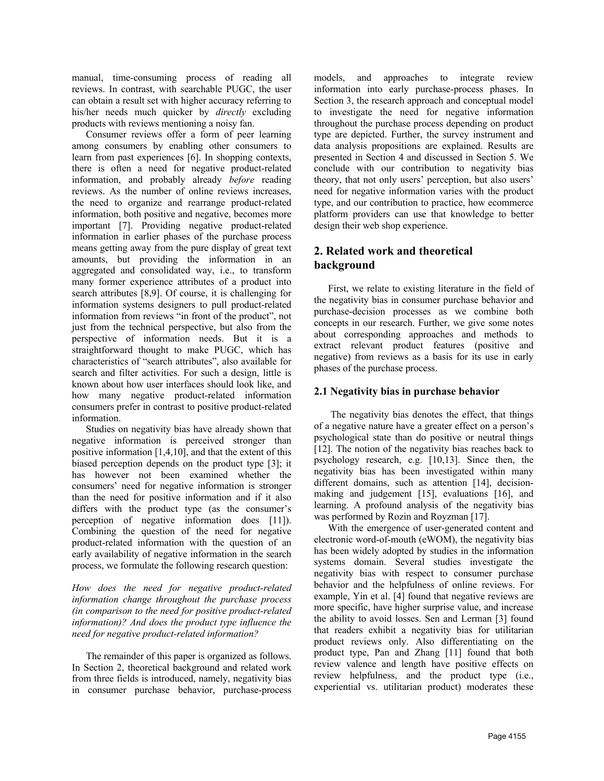manual, time-consuming process of reading all reviews. In contrast, with searchable PUGC, the user can obtain a result set with higher accuracy referring to his/her needs much quicker by *directly* excluding products with reviews mentioning a noisy fan.

Consumer reviews offer a form of peer learning among consumers by enabling other consumers to learn from past experiences [6]. In shopping contexts, there is often a need for negative product-related information, and probably already *before* reading reviews. As the number of online reviews increases, the need to organize and rearrange product-related information, both positive and negative, becomes more important [7]. Providing negative product-related information in earlier phases of the purchase process means getting away from the pure display of great text amounts, but providing the information in an aggregated and consolidated way, i.e., to transform many former experience attributes of a product into search attributes [8,9]. Of course, it is challenging for information systems designers to pull product-related information from reviews "in front of the product", not just from the technical perspective, but also from the perspective of information needs. But it is a straightforward thought to make PUGC, which has characteristics of "search attributes", also available for search and filter activities. For such a design, little is known about how user interfaces should look like, and how many negative product-related information consumers prefer in contrast to positive product-related information.

Studies on negativity bias have already shown that negative information is perceived stronger than positive information [1,4,10], and that the extent of this biased perception depends on the product type [3]; it has however not been examined whether the consumers' need for negative information is stronger than the need for positive information and if it also differs with the product type (as the consumer's perception of negative information does [11]). Combining the question of the need for negative product-related information with the question of an early availability of negative information in the search process, we formulate the following research question:

*How does the need for negative product-related information change throughout the purchase process (in comparison to the need for positive product-related information)? And does the product type influence the need for negative product-related information?*

The remainder of this paper is organized as follows. In Section 2, theoretical background and related work from three fields is introduced, namely, negativity bias in consumer purchase behavior, purchase-process models, and approaches to integrate review information into early purchase-process phases. In Section 3, the research approach and conceptual model to investigate the need for negative information throughout the purchase process depending on product type are depicted. Further, the survey instrument and data analysis propositions are explained. Results are presented in Section 4 and discussed in Section 5. We conclude with our contribution to negativity bias theory, that not only users' perception, but also users' need for negative information varies with the product type, and our contribution to practice, how ecommerce platform providers can use that knowledge to better design their web shop experience.

# **2. Related work and theoretical background**

First, we relate to existing literature in the field of the negativity bias in consumer purchase behavior and purchase-decision processes as we combine both concepts in our research. Further, we give some notes about corresponding approaches and methods to extract relevant product features (positive and negative) from reviews as a basis for its use in early phases of the purchase process.

## **2.1 Negativity bias in purchase behavior**

The negativity bias denotes the effect, that things of a negative nature have a greater effect on a person's psychological state than do positive or neutral things [12]. The notion of the negativity bias reaches back to psychology research, e.g. [10,13]. Since then, the negativity bias has been investigated within many different domains, such as attention [14], decisionmaking and judgement [15], evaluations [16], and learning. A profound analysis of the negativity bias was performed by Rozin and Royzman [17].

With the emergence of user-generated content and electronic word-of-mouth (eWOM), the negativity bias has been widely adopted by studies in the information systems domain. Several studies investigate the negativity bias with respect to consumer purchase behavior and the helpfulness of online reviews. For example, Yin et al. [4] found that negative reviews are more specific, have higher surprise value, and increase the ability to avoid losses. Sen and Lerman [3] found that readers exhibit a negativity bias for utilitarian product reviews only. Also differentiating on the product type, Pan and Zhang [11] found that both review valence and length have positive effects on review helpfulness, and the product type (i.e., experiential vs. utilitarian product) moderates these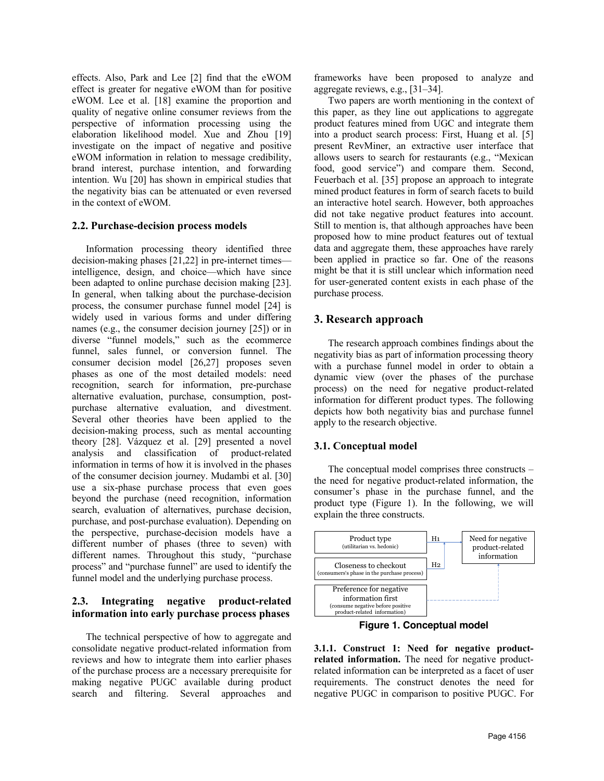effects. Also, Park and Lee [2] find that the eWOM effect is greater for negative eWOM than for positive eWOM. Lee et al. [18] examine the proportion and quality of negative online consumer reviews from the perspective of information processing using the elaboration likelihood model. Xue and Zhou [19] investigate on the impact of negative and positive eWOM information in relation to message credibility, brand interest, purchase intention, and forwarding intention. Wu [20] has shown in empirical studies that the negativity bias can be attenuated or even reversed in the context of eWOM.

#### **2.2. Purchase-decision process models**

Information processing theory identified three decision-making phases [21,22] in pre-internet times intelligence, design, and choice—which have since been adapted to online purchase decision making [23]. In general, when talking about the purchase-decision process, the consumer purchase funnel model [24] is widely used in various forms and under differing names (e.g., the consumer decision journey [25]) or in diverse "funnel models," such as the ecommerce funnel, sales funnel, or conversion funnel. The consumer decision model [26,27] proposes seven phases as one of the most detailed models: need recognition, search for information, pre-purchase alternative evaluation, purchase, consumption, postpurchase alternative evaluation, and divestment. Several other theories have been applied to the decision-making process, such as mental accounting theory [28]. Vázquez et al. [29] presented a novel analysis and classification of product-related information in terms of how it is involved in the phases of the consumer decision journey. Mudambi et al. [30] use a six-phase purchase process that even goes beyond the purchase (need recognition, information search, evaluation of alternatives, purchase decision, purchase, and post-purchase evaluation). Depending on the perspective, purchase-decision models have a different number of phases (three to seven) with different names. Throughout this study, "purchase process" and "purchase funnel" are used to identify the funnel model and the underlying purchase process.

## **2.3. Integrating negative product-related information into early purchase process phases**

The technical perspective of how to aggregate and consolidate negative product-related information from reviews and how to integrate them into earlier phases of the purchase process are a necessary prerequisite for making negative PUGC available during product search and filtering. Several approaches and frameworks have been proposed to analyze and aggregate reviews, e.g., [31–34].

Two papers are worth mentioning in the context of this paper, as they line out applications to aggregate product features mined from UGC and integrate them into a product search process: First, Huang et al. [5] present RevMiner, an extractive user interface that allows users to search for restaurants (e.g., "Mexican food, good service") and compare them. Second, Feuerbach et al. [35] propose an approach to integrate mined product features in form of search facets to build an interactive hotel search. However, both approaches did not take negative product features into account. Still to mention is, that although approaches have been proposed how to mine product features out of textual data and aggregate them, these approaches have rarely been applied in practice so far. One of the reasons might be that it is still unclear which information need for user-generated content exists in each phase of the purchase process.

# **3. Research approach**

The research approach combines findings about the negativity bias as part of information processing theory with a purchase funnel model in order to obtain a dynamic view (over the phases of the purchase process) on the need for negative product-related information for different product types. The following depicts how both negativity bias and purchase funnel apply to the research objective.

#### **3.1. Conceptual model**

The conceptual model comprises three constructs – the need for negative product-related information, the consumer's phase in the purchase funnel, and the product type (Figure 1). In the following, we will explain the three constructs.



**Figure 1. Conceptual model**

**3.1.1. Construct 1: Need for negative productrelated information.** The need for negative productrelated information can be interpreted as a facet of user requirements. The construct denotes the need for negative PUGC in comparison to positive PUGC. For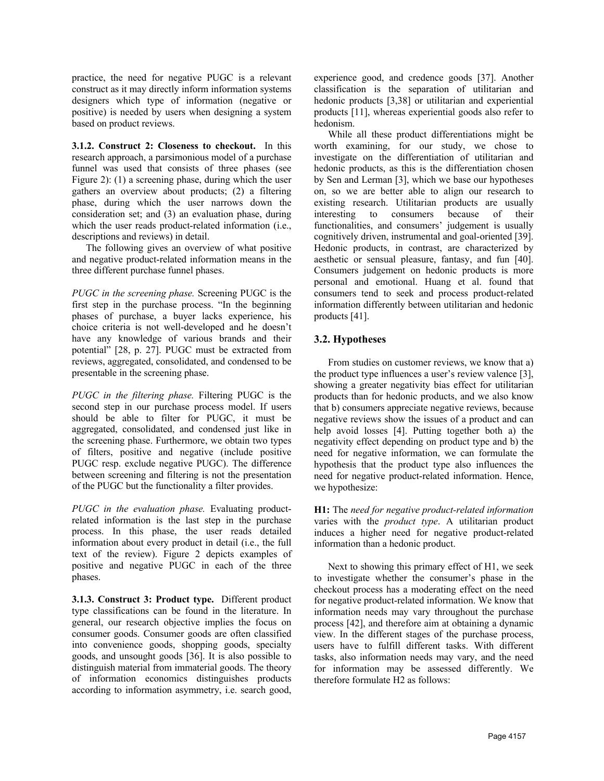practice, the need for negative PUGC is a relevant construct as it may directly inform information systems designers which type of information (negative or positive) is needed by users when designing a system based on product reviews.

**3.1.2. Construct 2: Closeness to checkout.** In this research approach, a parsimonious model of a purchase funnel was used that consists of three phases (see Figure 2): (1) a screening phase, during which the user gathers an overview about products; (2) a filtering phase, during which the user narrows down the consideration set; and (3) an evaluation phase, during which the user reads product-related information (i.e., descriptions and reviews) in detail.

The following gives an overview of what positive and negative product-related information means in the three different purchase funnel phases.

*PUGC in the screening phase.* Screening PUGC is the first step in the purchase process. "In the beginning phases of purchase, a buyer lacks experience, his choice criteria is not well-developed and he doesn't have any knowledge of various brands and their potential" [28, p. 27]. PUGC must be extracted from reviews, aggregated, consolidated, and condensed to be presentable in the screening phase.

*PUGC in the filtering phase.* Filtering PUGC is the second step in our purchase process model. If users should be able to filter for PUGC, it must be aggregated, consolidated, and condensed just like in the screening phase. Furthermore, we obtain two types of filters, positive and negative (include positive PUGC resp. exclude negative PUGC). The difference between screening and filtering is not the presentation of the PUGC but the functionality a filter provides.

*PUGC in the evaluation phase.* Evaluating productrelated information is the last step in the purchase process. In this phase, the user reads detailed information about every product in detail (i.e., the full text of the review). Figure 2 depicts examples of positive and negative PUGC in each of the three phases.

**3.1.3. Construct 3: Product type.** Different product type classifications can be found in the literature. In general, our research objective implies the focus on consumer goods. Consumer goods are often classified into convenience goods, shopping goods, specialty goods, and unsought goods [36]. It is also possible to distinguish material from immaterial goods. The theory of information economics distinguishes products according to information asymmetry, i.e. search good, experience good, and credence goods [37]. Another classification is the separation of utilitarian and hedonic products [3,38] or utilitarian and experiential products [11], whereas experiential goods also refer to hedonism.

While all these product differentiations might be worth examining, for our study, we chose to investigate on the differentiation of utilitarian and hedonic products, as this is the differentiation chosen by Sen and Lerman [3], which we base our hypotheses on, so we are better able to align our research to existing research. Utilitarian products are usually interesting to consumers because of their functionalities, and consumers' judgement is usually cognitively driven, instrumental and goal-oriented [39]. Hedonic products, in contrast, are characterized by aesthetic or sensual pleasure, fantasy, and fun [40]. Consumers judgement on hedonic products is more personal and emotional. Huang et al. found that consumers tend to seek and process product-related information differently between utilitarian and hedonic products [41].

# **3.2. Hypotheses**

From studies on customer reviews, we know that a) the product type influences a user's review valence [3], showing a greater negativity bias effect for utilitarian products than for hedonic products, and we also know that b) consumers appreciate negative reviews, because negative reviews show the issues of a product and can help avoid losses [4]. Putting together both a) the negativity effect depending on product type and b) the need for negative information, we can formulate the hypothesis that the product type also influences the need for negative product-related information. Hence, we hypothesize:

**H1:** The *need for negative product-related information* varies with the *product type*. A utilitarian product induces a higher need for negative product-related information than a hedonic product.

Next to showing this primary effect of H1, we seek to investigate whether the consumer's phase in the checkout process has a moderating effect on the need for negative product-related information. We know that information needs may vary throughout the purchase process [42], and therefore aim at obtaining a dynamic view. In the different stages of the purchase process, users have to fulfill different tasks. With different tasks, also information needs may vary, and the need for information may be assessed differently. We therefore formulate H2 as follows: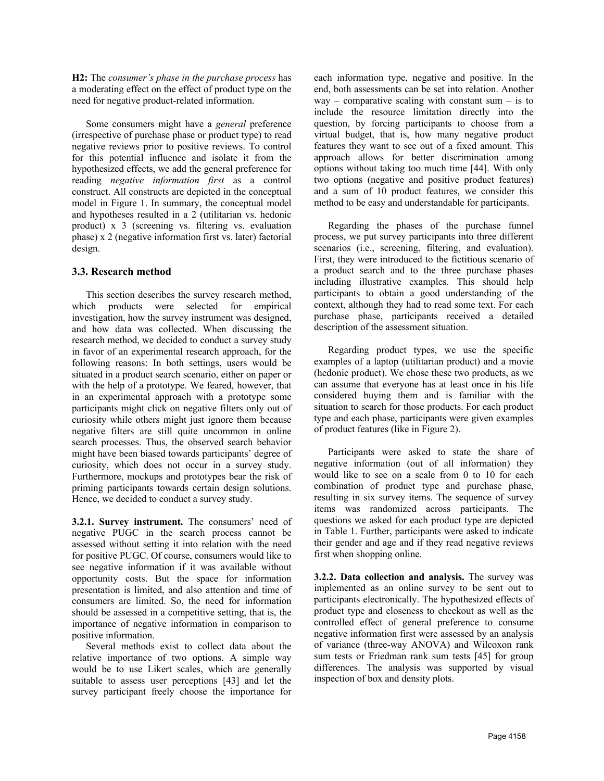**H2:** The *consumer's phase in the purchase process* has a moderating effect on the effect of product type on the need for negative product-related information.

Some consumers might have a *general* preference (irrespective of purchase phase or product type) to read negative reviews prior to positive reviews. To control for this potential influence and isolate it from the hypothesized effects, we add the general preference for reading *negative information first* as a control construct. All constructs are depicted in the conceptual model in Figure 1. In summary, the conceptual model and hypotheses resulted in a 2 (utilitarian vs. hedonic product) x 3 (screening vs. filtering vs. evaluation phase) x 2 (negative information first vs. later) factorial design.

#### **3.3. Research method**

This section describes the survey research method, which products were selected for empirical investigation, how the survey instrument was designed, and how data was collected. When discussing the research method, we decided to conduct a survey study in favor of an experimental research approach, for the following reasons: In both settings, users would be situated in a product search scenario, either on paper or with the help of a prototype. We feared, however, that in an experimental approach with a prototype some participants might click on negative filters only out of curiosity while others might just ignore them because negative filters are still quite uncommon in online search processes. Thus, the observed search behavior might have been biased towards participants' degree of curiosity, which does not occur in a survey study. Furthermore, mockups and prototypes bear the risk of priming participants towards certain design solutions. Hence, we decided to conduct a survey study.

**3.2.1. Survey instrument.** The consumers' need of negative PUGC in the search process cannot be assessed without setting it into relation with the need for positive PUGC. Of course, consumers would like to see negative information if it was available without opportunity costs. But the space for information presentation is limited, and also attention and time of consumers are limited. So, the need for information should be assessed in a competitive setting, that is, the importance of negative information in comparison to positive information.

Several methods exist to collect data about the relative importance of two options. A simple way would be to use Likert scales, which are generally suitable to assess user perceptions [43] and let the survey participant freely choose the importance for each information type, negative and positive. In the end, both assessments can be set into relation. Another way – comparative scaling with constant sum – is to include the resource limitation directly into the question, by forcing participants to choose from a virtual budget, that is, how many negative product features they want to see out of a fixed amount. This approach allows for better discrimination among options without taking too much time [44]. With only two options (negative and positive product features) and a sum of 10 product features, we consider this method to be easy and understandable for participants.

Regarding the phases of the purchase funnel process, we put survey participants into three different scenarios (i.e., screening, filtering, and evaluation). First, they were introduced to the fictitious scenario of a product search and to the three purchase phases including illustrative examples. This should help participants to obtain a good understanding of the context, although they had to read some text. For each purchase phase, participants received a detailed description of the assessment situation.

Regarding product types, we use the specific examples of a laptop (utilitarian product) and a movie (hedonic product). We chose these two products, as we can assume that everyone has at least once in his life considered buying them and is familiar with the situation to search for those products. For each product type and each phase, participants were given examples of product features (like in Figure 2).

Participants were asked to state the share of negative information (out of all information) they would like to see on a scale from 0 to 10 for each combination of product type and purchase phase, resulting in six survey items. The sequence of survey items was randomized across participants. The questions we asked for each product type are depicted in Table 1. Further, participants were asked to indicate their gender and age and if they read negative reviews first when shopping online.

**3.2.2. Data collection and analysis.** The survey was implemented as an online survey to be sent out to participants electronically. The hypothesized effects of product type and closeness to checkout as well as the controlled effect of general preference to consume negative information first were assessed by an analysis of variance (three-way ANOVA) and Wilcoxon rank sum tests or Friedman rank sum tests [45] for group differences. The analysis was supported by visual inspection of box and density plots.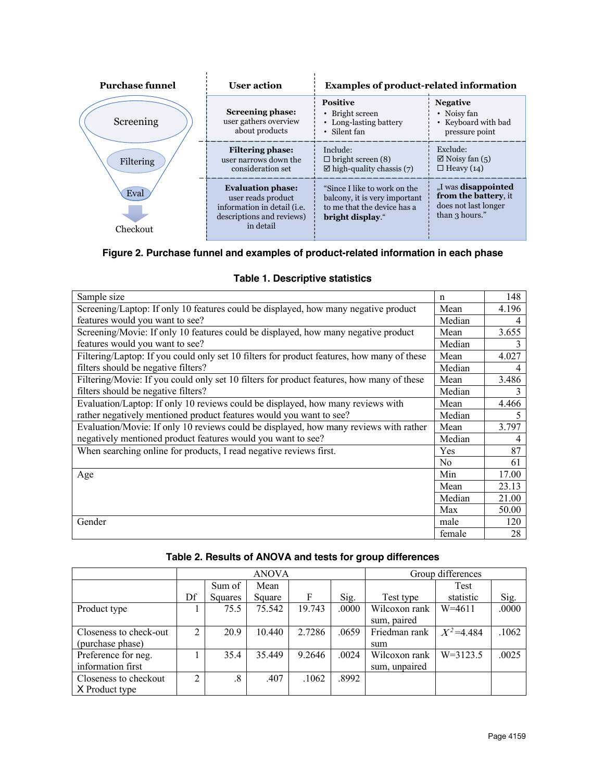| <b>Purchase funnel</b> | <b>User action</b>                                                                                                              | <b>Examples of product-related information</b>                                                                   |                                                                                              |  |  |
|------------------------|---------------------------------------------------------------------------------------------------------------------------------|------------------------------------------------------------------------------------------------------------------|----------------------------------------------------------------------------------------------|--|--|
| Screening              | Screening phase:<br>user gathers overview<br>about products                                                                     | <b>Positive</b><br>• Bright screen<br>• Long-lasting battery<br>• Silent fan                                     | <b>Negative</b><br>• Noisy fan<br>• Keyboard with bad<br>pressure point                      |  |  |
| Filtering              | <b>Filtering phase:</b><br>user narrows down the<br>consideration set                                                           | Include:<br>$\Box$ bright screen (8)<br>$\boxtimes$ high-quality chassis (7)                                     | Exclude:<br>$\boxtimes$ Noisy fan (5)<br>$\Box$ Heavy (14)                                   |  |  |
| Eval<br>Checkout       | <b>Evaluation phase:</b><br>user reads product<br>information in detail ( <i>i.e.</i><br>descriptions and reviews)<br>in detail | "Since I like to work on the<br>balcony, it is very important<br>to me that the device has a<br>bright display." | "I was <b>disappointed</b><br>from the battery, it<br>does not last longer<br>than 3 hours." |  |  |

# **Figure 2. Purchase funnel and examples of product-related information in each phase**

| Sample size                                                                                | n              | 148   |
|--------------------------------------------------------------------------------------------|----------------|-------|
| Screening/Laptop: If only 10 features could be displayed, how many negative product        |                | 4.196 |
| features would you want to see?                                                            |                | 4     |
| Screening/Movie: If only 10 features could be displayed, how many negative product         | Mean           | 3.655 |
| features would you want to see?                                                            | Median         | 3     |
| Filtering/Laptop: If you could only set 10 filters for product features, how many of these | Mean           | 4.027 |
| filters should be negative filters?                                                        |                |       |
| Filtering/Movie: If you could only set 10 filters for product features, how many of these  |                | 3.486 |
| filters should be negative filters?                                                        | Median         | 3     |
| Evaluation/Laptop: If only 10 reviews could be displayed, how many reviews with            |                | 4.466 |
| rather negatively mentioned product features would you want to see?                        |                | 5     |
| Evaluation/Movie: If only 10 reviews could be displayed, how many reviews with rather      |                | 3.797 |
| negatively mentioned product features would you want to see?                               |                | 4     |
| When searching online for products, I read negative reviews first.                         |                | 87    |
|                                                                                            | N <sub>0</sub> | 61    |
| Age                                                                                        | Min            | 17.00 |
|                                                                                            | Mean           | 23.13 |
|                                                                                            | Median         | 21.00 |
|                                                                                            | Max            | 50.00 |
| Gender                                                                                     | male           | 120   |
|                                                                                            | female         | 28    |

# **Table 1. Descriptive statistics**

| Table 2. Results of ANOVA and tests for group differences |  |  |  |
|-----------------------------------------------------------|--|--|--|
|-----------------------------------------------------------|--|--|--|

|                        | <b>ANOVA</b> |           |        | Group differences |       |                              |               |       |
|------------------------|--------------|-----------|--------|-------------------|-------|------------------------------|---------------|-------|
|                        |              | Sum of    | Mean   |                   |       |                              | Test          |       |
|                        | Df           | Squares   | Square | F                 | Sig.  | Test type                    | statistic     | Sig.  |
| Product type           |              | 75.5      | 75.542 | 19.743            | .0000 | Wilcoxon rank<br>sum, paired | $W = 4611$    | .0000 |
| Closeness to check-out | 2            | 20.9      | 10.440 | 2.7286            | .0659 | Friedman rank                | $X^2 = 4.484$ | .1062 |
| (purchase phase)       |              |           |        |                   |       | sum                          |               |       |
| Preference for neg.    |              | 35.4      | 35.449 | 9.2646            | .0024 | Wilcoxon rank                | $W = 3123.5$  | .0025 |
| information first      |              |           |        |                   |       | sum, unpaired                |               |       |
| Closeness to checkout  | C            | $\cdot$ 8 | .407   | .1062             | .8992 |                              |               |       |
| X Product type         |              |           |        |                   |       |                              |               |       |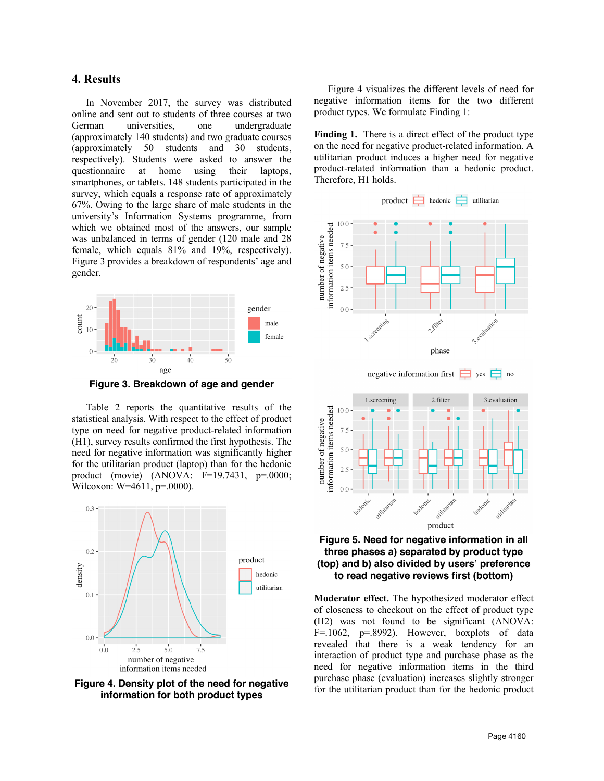# **4. Results**

In November 2017, the survey was distributed online and sent out to students of three courses at two German universities, one undergraduate (approximately 140 students) and two graduate courses (approximately 50 students and 30 students, respectively). Students were asked to answer the questionnaire at home using their laptops, smartphones, or tablets. 148 students participated in the survey, which equals a response rate of approximately 67%. Owing to the large share of male students in the university's Information Systems programme, from which we obtained most of the answers, our sample was unbalanced in terms of gender (120 male and 28 female, which equals 81% and 19%, respectively). Figure 3 provides a breakdown of respondents' age and gender.



**Figure 3. Breakdown of age and gender**

Table 2 reports the quantitative results of the statistical analysis. With respect to the effect of product type on need for negative product-related information (H1), survey results confirmed the first hypothesis. The need for negative information was significantly higher for the utilitarian product (laptop) than for the hedonic product (movie) (ANOVA: F=19.7431, p=.0000; Wilcoxon: W=4611, p=.0000).



**Figure 4. Density plot of the need for negative information for both product types**

Figure 4 visualizes the different levels of need for negative information items for the two different product types. We formulate Finding 1:

**Finding 1.** There is a direct effect of the product type on the need for negative product-related information. A utilitarian product induces a higher need for negative product-related information than a hedonic product. Therefore, H1 holds.





**Moderator effect.** The hypothesized moderator effect of closeness to checkout on the effect of product type (H2) was not found to be significant (ANOVA:  $F = .1062$ ,  $p = .8992$ ). However, boxplots of data revealed that there is a weak tendency for an interaction of product type and purchase phase as the need for negative information items in the third purchase phase (evaluation) increases slightly stronger for the utilitarian product than for the hedonic product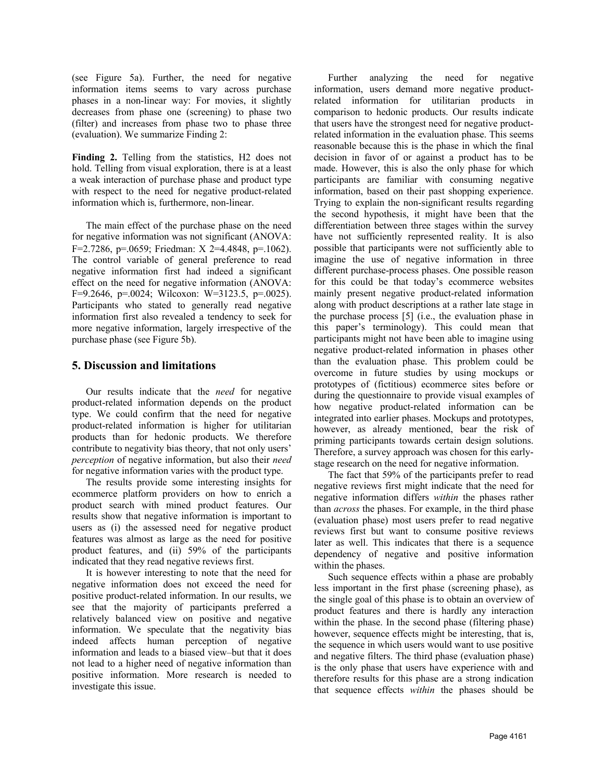(see Figure 5a). Further, the need for negative information items seems to vary across purchase phases in a non-linear way: For movies, it slightly decreases from phase one (screening) to phase two (filter) and increases from phase two to phase three (evaluation). We summarize Finding 2:

**Finding 2.** Telling from the statistics, H2 does not hold. Telling from visual exploration, there is at a least a weak interaction of purchase phase and product type with respect to the need for negative product-related information which is, furthermore, non-linear.

The main effect of the purchase phase on the need for negative information was not significant (ANOVA: F=2.7286, p=.0659; Friedman: X 2=4.4848, p=.1062). The control variable of general preference to read negative information first had indeed a significant effect on the need for negative information (ANOVA: F=9.2646, p=.0024; Wilcoxon: W=3123.5, p=.0025). Participants who stated to generally read negative information first also revealed a tendency to seek for more negative information, largely irrespective of the purchase phase (see Figure 5b).

# **5. Discussion and limitations**

Our results indicate that the *need* for negative product-related information depends on the product type. We could confirm that the need for negative product-related information is higher for utilitarian products than for hedonic products. We therefore contribute to negativity bias theory, that not only users' *perception* of negative information, but also their *need* for negative information varies with the product type.

The results provide some interesting insights for ecommerce platform providers on how to enrich a product search with mined product features. Our results show that negative information is important to users as (i) the assessed need for negative product features was almost as large as the need for positive product features, and (ii) 59% of the participants indicated that they read negative reviews first.

It is however interesting to note that the need for negative information does not exceed the need for positive product-related information. In our results, we see that the majority of participants preferred a relatively balanced view on positive and negative information. We speculate that the negativity bias indeed affects human perception of negative information and leads to a biased view–but that it does not lead to a higher need of negative information than positive information. More research is needed to investigate this issue.

Further analyzing the need for negative information, users demand more negative productrelated information for utilitarian products in comparison to hedonic products. Our results indicate that users have the strongest need for negative productrelated information in the evaluation phase. This seems reasonable because this is the phase in which the final decision in favor of or against a product has to be made. However, this is also the only phase for which participants are familiar with consuming negative information, based on their past shopping experience. Trying to explain the non-significant results regarding the second hypothesis, it might have been that the differentiation between three stages within the survey have not sufficiently represented reality. It is also possible that participants were not sufficiently able to imagine the use of negative information in three different purchase-process phases. One possible reason for this could be that today's ecommerce websites mainly present negative product-related information along with product descriptions at a rather late stage in the purchase process [5] (i.e., the evaluation phase in this paper's terminology). This could mean that participants might not have been able to imagine using negative product-related information in phases other than the evaluation phase. This problem could be overcome in future studies by using mockups or prototypes of (fictitious) ecommerce sites before or during the questionnaire to provide visual examples of how negative product-related information can be integrated into earlier phases. Mockups and prototypes, however, as already mentioned, bear the risk of priming participants towards certain design solutions. Therefore, a survey approach was chosen for this earlystage research on the need for negative information.

The fact that 59% of the participants prefer to read negative reviews first might indicate that the need for negative information differs *within* the phases rather than *across* the phases. For example, in the third phase (evaluation phase) most users prefer to read negative reviews first but want to consume positive reviews later as well. This indicates that there is a sequence dependency of negative and positive information within the phases.

Such sequence effects within a phase are probably less important in the first phase (screening phase), as the single goal of this phase is to obtain an overview of product features and there is hardly any interaction within the phase. In the second phase (filtering phase) however, sequence effects might be interesting, that is, the sequence in which users would want to use positive and negative filters. The third phase (evaluation phase) is the only phase that users have experience with and therefore results for this phase are a strong indication that sequence effects *within* the phases should be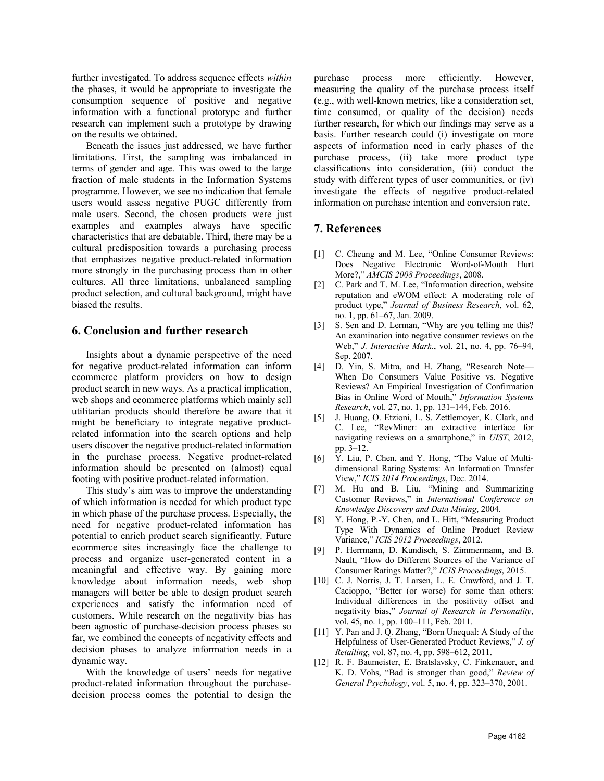further investigated. To address sequence effects *within* the phases, it would be appropriate to investigate the consumption sequence of positive and negative information with a functional prototype and further research can implement such a prototype by drawing on the results we obtained.

Beneath the issues just addressed, we have further limitations. First, the sampling was imbalanced in terms of gender and age. This was owed to the large fraction of male students in the Information Systems programme. However, we see no indication that female users would assess negative PUGC differently from male users. Second, the chosen products were just examples and examples always have specific characteristics that are debatable. Third, there may be a cultural predisposition towards a purchasing process that emphasizes negative product-related information more strongly in the purchasing process than in other cultures. All three limitations, unbalanced sampling product selection, and cultural background, might have biased the results.

#### **6. Conclusion and further research**

Insights about a dynamic perspective of the need for negative product-related information can inform ecommerce platform providers on how to design product search in new ways. As a practical implication, web shops and ecommerce platforms which mainly sell utilitarian products should therefore be aware that it might be beneficiary to integrate negative productrelated information into the search options and help users discover the negative product-related information in the purchase process. Negative product-related information should be presented on (almost) equal footing with positive product-related information.

This study's aim was to improve the understanding of which information is needed for which product type in which phase of the purchase process. Especially, the need for negative product-related information has potential to enrich product search significantly. Future ecommerce sites increasingly face the challenge to process and organize user-generated content in a meaningful and effective way. By gaining more knowledge about information needs, web shop managers will better be able to design product search experiences and satisfy the information need of customers. While research on the negativity bias has been agnostic of purchase-decision process phases so far, we combined the concepts of negativity effects and decision phases to analyze information needs in a dynamic way.

With the knowledge of users' needs for negative product-related information throughout the purchasedecision process comes the potential to design the

purchase process more efficiently. However, measuring the quality of the purchase process itself (e.g., with well-known metrics, like a consideration set, time consumed, or quality of the decision) needs further research, for which our findings may serve as a basis. Further research could (i) investigate on more aspects of information need in early phases of the purchase process, (ii) take more product type classifications into consideration, (iii) conduct the study with different types of user communities, or (iv) investigate the effects of negative product-related information on purchase intention and conversion rate.

#### **7. References**

- [1] C. Cheung and M. Lee, "Online Consumer Reviews: Does Negative Electronic Word-of-Mouth Hurt More?," *AMCIS 2008 Proceedings*, 2008.
- [2] C. Park and T. M. Lee, "Information direction, website reputation and eWOM effect: A moderating role of product type," *Journal of Business Research*, vol. 62, no. 1, pp. 61–67, Jan. 2009.
- [3] S. Sen and D. Lerman, "Why are you telling me this? An examination into negative consumer reviews on the Web," *J. Interactive Mark.*, vol. 21, no. 4, pp. 76–94, Sep. 2007.
- [4] D. Yin, S. Mitra, and H. Zhang, "Research Note— When Do Consumers Value Positive vs. Negative Reviews? An Empirical Investigation of Confirmation Bias in Online Word of Mouth," *Information Systems Research*, vol. 27, no. 1, pp. 131–144, Feb. 2016.
- [5] J. Huang, O. Etzioni, L. S. Zettlemoyer, K. Clark, and C. Lee, "RevMiner: an extractive interface for navigating reviews on a smartphone," in *UIST*, 2012, pp. 3–12.
- [6] Y. Liu, P. Chen, and Y. Hong, "The Value of Multidimensional Rating Systems: An Information Transfer View," *ICIS 2014 Proceedings*, Dec. 2014.
- [7] M. Hu and B. Liu, "Mining and Summarizing Customer Reviews," in *International Conference on Knowledge Discovery and Data Mining*, 2004.
- [8] Y. Hong, P.-Y. Chen, and L. Hitt, "Measuring Product Type With Dynamics of Online Product Review Variance," *ICIS 2012 Proceedings*, 2012.
- [9] P. Herrmann, D. Kundisch, S. Zimmermann, and B. Nault, "How do Different Sources of the Variance of Consumer Ratings Matter?," *ICIS Proceedings*, 2015.
- [10] C. J. Norris, J. T. Larsen, L. E. Crawford, and J. T. Cacioppo, "Better (or worse) for some than others: Individual differences in the positivity offset and negativity bias," *Journal of Research in Personality*, vol. 45, no. 1, pp. 100–111, Feb. 2011.
- [11] Y. Pan and J. Q. Zhang, "Born Unequal: A Study of the Helpfulness of User-Generated Product Reviews," *J. of Retailing*, vol. 87, no. 4, pp. 598–612, 2011.
- [12] R. F. Baumeister, E. Bratslavsky, C. Finkenauer, and K. D. Vohs, "Bad is stronger than good," *Review of General Psychology*, vol. 5, no. 4, pp. 323–370, 2001.